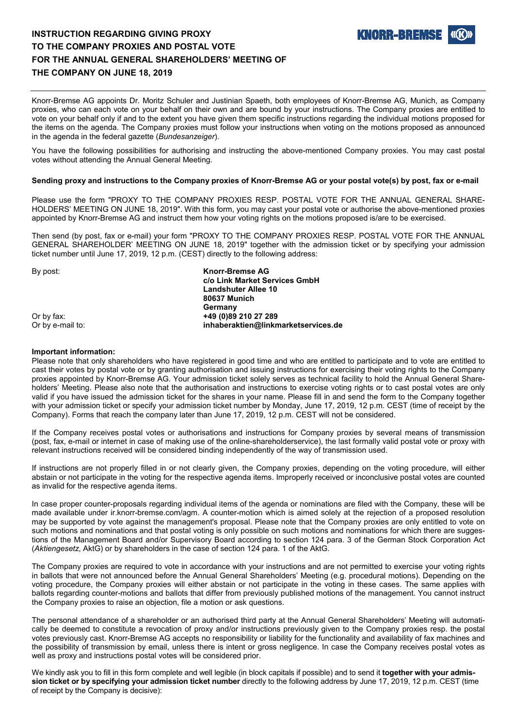# **INSTRUCTION REGARDING GIVING PROXY TO THE COMPANY PROXIES AND POSTAL VOTE FOR THE ANNUAL GENERAL SHAREHOLDERS' MEETING OF THE COMPANY ON JUNE 18, 2019**

**KNORR-BREMSI** 

Knorr-Bremse AG appoints Dr. Moritz Schuler and Justinian Spaeth, both employees of Knorr-Bremse AG, Munich, as Company proxies, who can each vote on your behalf on their own and are bound by your instructions. The Company proxies are entitled to vote on your behalf only if and to the extent you have given them specific instructions regarding the individual motions proposed for the items on the agenda. The Company proxies must follow your instructions when voting on the motions proposed as announced in the agenda in the federal gazette (*Bundesanzeiger*).

You have the following possibilities for authorising and instructing the above-mentioned Company proxies. You may cast postal votes without attending the Annual General Meeting.

### **Sending proxy and instructions to the Company proxies of Knorr-Bremse AG or your postal vote(s) by post, fax or e-mail**

Please use the form "PROXY TO THE COMPANY PROXIES RESP. POSTAL VOTE FOR THE ANNUAL GENERAL SHARE-HOLDERS' MEETING ON JUNE 18, 2019". With this form, you may cast your postal vote or authorise the above-mentioned proxies appointed by Knorr-Bremse AG and instruct them how your voting rights on the motions proposed is/are to be exercised.

Then send (by post, fax or e-mail) your form "PROXY TO THE COMPANY PROXIES RESP. POSTAL VOTE FOR THE ANNUAL GENERAL SHAREHOLDER' MEETING ON JUNE 18, 2019" together with the admission ticket or by specifying your admission ticket number until June 17, 2019, 12 p.m. (CEST) directly to the following address:

By post: **Knorr-Bremse AG c/o Link Market Services GmbH Landshuter Allee 10 80637 Munich Germany**  Or by fax: **+49 (0)89 210 27 289**  $inh a beraktion@link markets$ ervices.de

### **Important information:**

Please note that only shareholders who have registered in good time and who are entitled to participate and to vote are entitled to cast their votes by postal vote or by granting authorisation and issuing instructions for exercising their voting rights to the Company proxies appointed by Knorr-Bremse AG. Your admission ticket solely serves as technical facility to hold the Annual General Shareholders' Meeting. Please also note that the authorisation and instructions to exercise voting rights or to cast postal votes are only valid if you have issued the admission ticket for the shares in your name. Please fill in and send the form to the Company together with your admission ticket or specify your admission ticket number by Monday, June 17, 2019, 12 p.m. CEST (time of receipt by the Company). Forms that reach the company later than June 17, 2019, 12 p.m. CEST will not be considered.

If the Company receives postal votes or authorisations and instructions for Company proxies by several means of transmission (post, fax, e-mail or internet in case of making use of the online-shareholderservice), the last formally valid postal vote or proxy with relevant instructions received will be considered binding independently of the way of transmission used.

If instructions are not properly filled in or not clearly given, the Company proxies, depending on the voting procedure, will either abstain or not participate in the voting for the respective agenda items. Improperly received or inconclusive postal votes are counted as invalid for the respective agenda items.

In case proper counter-proposals regarding individual items of the agenda or nominations are filed with the Company, these will be made available under ir.knorr-bremse.com/agm. A counter-motion which is aimed solely at the rejection of a proposed resolution may be supported by vote against the management's proposal. Please note that the Company proxies are only entitled to vote on such motions and nominations and that postal voting is only possible on such motions and nominations for which there are suggestions of the Management Board and/or Supervisory Board according to section 124 para. 3 of the German Stock Corporation Act (*Aktiengesetz*, AktG) or by shareholders in the case of section 124 para. 1 of the AktG.

The Company proxies are required to vote in accordance with your instructions and are not permitted to exercise your voting rights in ballots that were not announced before the Annual General Shareholders' Meeting (e.g. procedural motions). Depending on the voting procedure, the Company proxies will either abstain or not participate in the voting in these cases. The same applies with ballots regarding counter-motions and ballots that differ from previously published motions of the management. You cannot instruct the Company proxies to raise an objection, file a motion or ask questions.

The personal attendance of a shareholder or an authorised third party at the Annual General Shareholders' Meeting will automatically be deemed to constitute a revocation of proxy and/or instructions previously given to the Company proxies resp. the postal votes previously cast. Knorr-Bremse AG accepts no responsibility or liability for the functionality and availability of fax machines and the possibility of transmission by email, unless there is intent or gross negligence. In case the Company receives postal votes as well as proxy and instructions postal votes will be considered prior.

We kindly ask you to fill in this form complete and well legible (in block capitals if possible) and to send it **together with your admission ticket or by specifying your admission ticket number** directly to the following address by June 17, 2019, 12 p.m. CEST (time of receipt by the Company is decisive):